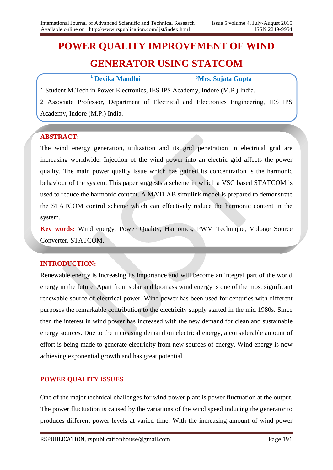# **POWER QUALITY IMPROVEMENT OF WIND GENERATOR USING STATCOM**

# **<sup>1</sup> Devika Mandloi ²Mrs. Sujata Gupta**

1 Student M.Tech in Power Electronics, IES IPS Academy, Indore (M.P.) India.

2 Associate Professor, Department of Electrical and Electronics Engineering, IES IPS Academy, Indore (M.P.) India.

## **ABSTRACT:**

The wind energy generation, utilization and its grid penetration in electrical grid are increasing worldwide. Injection of the wind power into an electric grid affects the power quality. The main power quality issue which has gained its concentration is the harmonic behaviour of the system. This paper suggests a scheme in which a VSC based STATCOM is used to reduce the harmonic content. A MATLAB simulink model is prepared to demonstrate the STATCOM control scheme which can effectively reduce the harmonic content in the system.

**Key words:** Wind energy, Power Quality, Hamonics, PWM Technique, Voltage Source Converter, STATCOM,

#### **INTRODUCTION:**

Renewable energy is increasing its importance and will become an integral part of the world energy in the future. Apart from solar and biomass wind energy is one of the most significant renewable source of electrical power. Wind power has been used for centuries with different purposes the remarkable contribution to the electricity supply started in the mid 1980s. Since then the interest in wind power has increased with the new demand for clean and sustainable energy sources. Due to the increasing demand on electrical energy, a considerable amount of effort is being made to generate electricity from new sources of energy. Wind energy is now achieving exponential growth and has great potential.

# **POWER QUALITY ISSUES**

One of the major technical challenges for wind power plant is power fluctuation at the output. The power fluctuation is caused by the variations of the wind speed inducing the generator to produces different power levels at varied time. With the increasing amount of wind power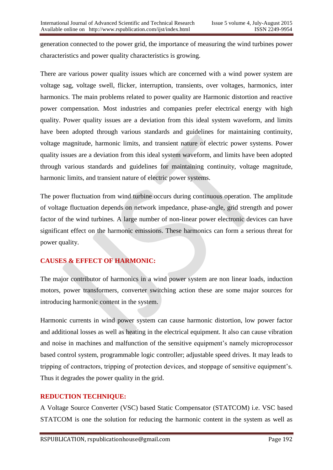generation connected to the power grid, the importance of measuring the wind turbines power characteristics and power quality characteristics is growing.

There are various power quality issues which are concerned with a wind power system are voltage sag, voltage swell, flicker, interruption, transients, over voltages, harmonics, inter harmonics. The main problems related to power quality are Harmonic distortion and reactive power compensation. Most industries and companies prefer electrical energy with high quality. Power quality issues are a deviation from this ideal system waveform, and limits have been adopted through various standards and guidelines for maintaining continuity, voltage magnitude, harmonic limits, and transient nature of electric power systems. Power quality issues are a deviation from this ideal system waveform, and limits have been adopted through various standards and guidelines for maintaining continuity, voltage magnitude, harmonic limits, and transient nature of electric power systems.

The power fluctuation from wind turbine occurs during continuous operation. The amplitude of voltage fluctuation depends on network impedance, phase-angle, grid strength and power factor of the wind turbines. A large number of non-linear power electronic devices can have significant effect on the harmonic emissions. These harmonics can form a serious threat for power quality.

# **CAUSES & EFFECT OF HARMONIC:**

The major contributor of harmonics in a wind power system are non linear loads, induction motors, power transformers, converter switching action these are some major sources for introducing harmonic content in the system.

Harmonic currents in wind power system can cause harmonic distortion, low power factor and additional losses as well as heating in the electrical equipment. It also can cause vibration and noise in machines and malfunction of the sensitive equipment's namely microprocessor based control system, programmable logic controller; adjustable speed drives. It may leads to tripping of contractors, tripping of protection devices, and stoppage of sensitive equipment's. Thus it degrades the power quality in the grid.

# **REDUCTION TECHNIQUE:**

A Voltage Source Converter (VSC) based Static Compensator (STATCOM) i.e. VSC based STATCOM is one the solution for reducing the harmonic content in the system as well as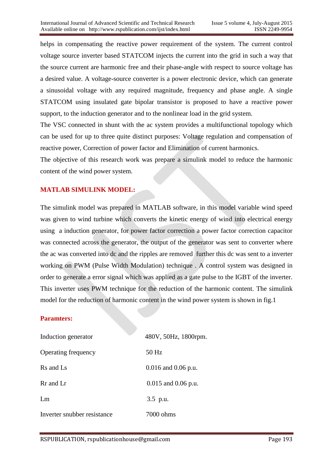helps in compensating the reactive power requirement of the system. The current control voltage source inverter based STATCOM injects the current into the grid in such a way that the source current are harmonic free and their phase-angle with respect to source voltage has a desired value. A voltage-source converter is a power electronic device, which can generate a sinusoidal voltage with any required magnitude, frequency and phase angle. A single STATCOM using insulated gate bipolar transistor is proposed to have a reactive power support, to the induction generator and to the nonlinear load in the grid system.

The VSC connected in shunt with the ac system provides a multifunctional topology which can be used for up to three quite distinct purposes: Voltage regulation and compensation of reactive power, Correction of power factor and Elimination of current harmonics.

The objective of this research work was prepare a simulink model to reduce the harmonic content of the wind power system.

## **MATLAB SIMULINK MODEL:**

The simulink model was prepared in MATLAB software, in this model variable wind speed was given to wind turbine which converts the kinetic energy of wind into electrical energy using a induction generator, for power factor correction a power factor correction capacitor was connected across the generator, the output of the generator was sent to converter where the ac was converted into dc and the ripples are removed further this dc was sent to a inverter working on PWM (Pulse Width Modulation) technique . A control system was designed in order to generate a error signal which was applied as a gate pulse to the IGBT of the inverter. This inverter uses PWM technique for the reduction of the harmonic content. The simulink model for the reduction of harmonic content in the wind power system is shown in fig.1

#### **Paramters:**

| Induction generator         | 480V, 50Hz, 1800rpm.    |
|-----------------------------|-------------------------|
| Operating frequency         | 50 Hz                   |
| Rs and Ls                   | $0.016$ and $0.06$ p.u. |
| Rr and Lr                   | $0.015$ and $0.06$ p.u. |
| Lm                          | 3.5 p.u.                |
| Inverter snubber resistance | 7000 ohms               |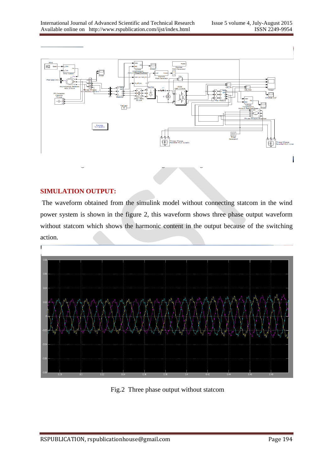

#### **SIMULATION OUTPUT:**

The waveform obtained from the simulink model without connecting statcom in the wind power system is shown in the figure 2, this waveform shows three phase output waveform without statcom which shows the harmonic content in the output because of the switching action.



Fig.2 Three phase output without statcom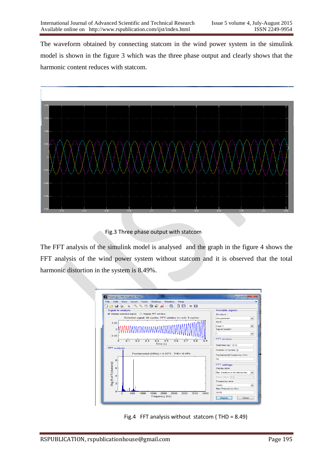The waveform obtained by connecting statcom in the wind power system in the simulink model is shown in the figure 3 which was the three phase output and clearly shows that the harmonic content reduces with statcom.



Fig.3 Three phase output with statcom

The FFT analysis of the simulink model is analysed and the graph in the figure 4 shows the FFT analysis of the wind power system without statcom and it is observed that the total harmonic distortion in the system is 8.49%.



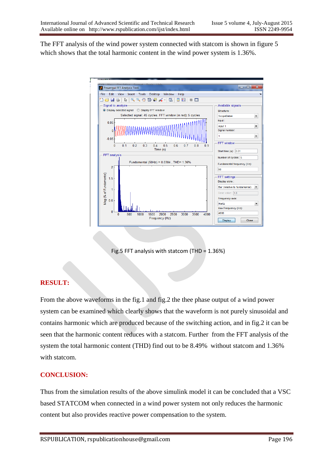The FFT analysis of the wind power system connected with statcom is shown in figure 5 which shows that the total harmonic content in the wind power system is 1.36%.



Fig.5 FFT analysis with statcom (THD = 1.36%)

# **RESULT:**

From the above waveforms in the fig.1 and fig.2 the thee phase output of a wind power system can be examined which clearly shows that the waveform is not purely sinusoidal and contains harmonic which are produced because of the switching action, and in fig.2 it can be seen that the harmonic content reduces with a statcom. Further from the FFT analysis of the system the total harmonic content (THD) find out to be 8.49% without statcom and 1.36% with statcom.

#### **CONCLUSION:**

Thus from the simulation results of the above simulink model it can be concluded that a VSC based STATCOM when connected in a wind power system not only reduces the harmonic content but also provides reactive power compensation to the system.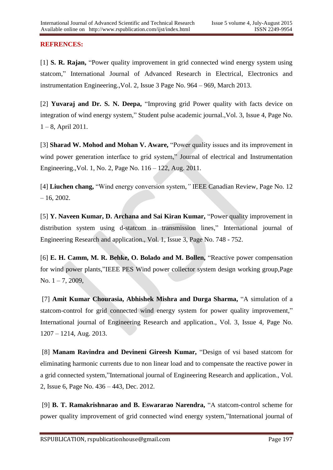## **REFRENCES:**

[1] **S. R. Rajan,** "Power quality improvement in grid connected wind energy system using statcom," International Journal of Advanced Research in Electrical, Electronics and instrumentation Engineering.,Vol. 2, Issue 3 Page No. 964 – 969, March 2013.

[2] **Yuvaraj and Dr. S. N. Deepa,** "Improving grid Power quality with facts device on integration of wind energy system," Student pulse academic journal.,Vol. 3, Issue 4, Page No. 1 – 8, April 2011.

[3] **Sharad W. Mohod and Mohan V. Aware,** "Power quality issues and its improvement in wind power generation interface to grid system," Journal of electrical and Instrumentation Engineering.,Vol. 1, No. 2, Page No. 116 – 122, Aug. 2011.

[4] **Liuchen chang,** "Wind energy conversion system,*"* IEEE Canadian Review, Page No. 12  $-16, 2002.$ 

[5] **Y. Naveen Kumar, D. Archana and Sai Kiran Kumar,** "Power quality improvement in distribution system using d-statcom in transmission lines," International journal of Engineering Research and application., Vol. 1, Issue 3, Page No. 748 - 752.

[6] **E. H. Camm, M. R. Behke, O. Bolado and M. Bollen,** "Reactive power compensation for wind power plants,"IEEE PES Wind power collector system design working group,Page No.  $1 - 7$ , 2009,

[7] **Amit Kumar Chourasia, Abhishek Mishra and Durga Sharma,** "A simulation of a statcom-control for grid connected wind energy system for power quality improvement," International journal of Engineering Research and application., Vol. 3, Issue 4, Page No. 1207 – 1214, Aug. 2013.

[8] **Manam Ravindra and Devineni Gireesh Kumar,** "Design of vsi based statcom for eliminating harmonic currents due to non linear load and to compensate the reactive power in a grid connected system,"International journal of Engineering Research and application., Vol. 2, Issue 6, Page No. 436 – 443, Dec. 2012.

[9] **B. T. Ramakrishnarao and B. Eswararao Narendra,** "A statcom-control scheme for power quality improvement of grid connected wind energy system,"International journal of